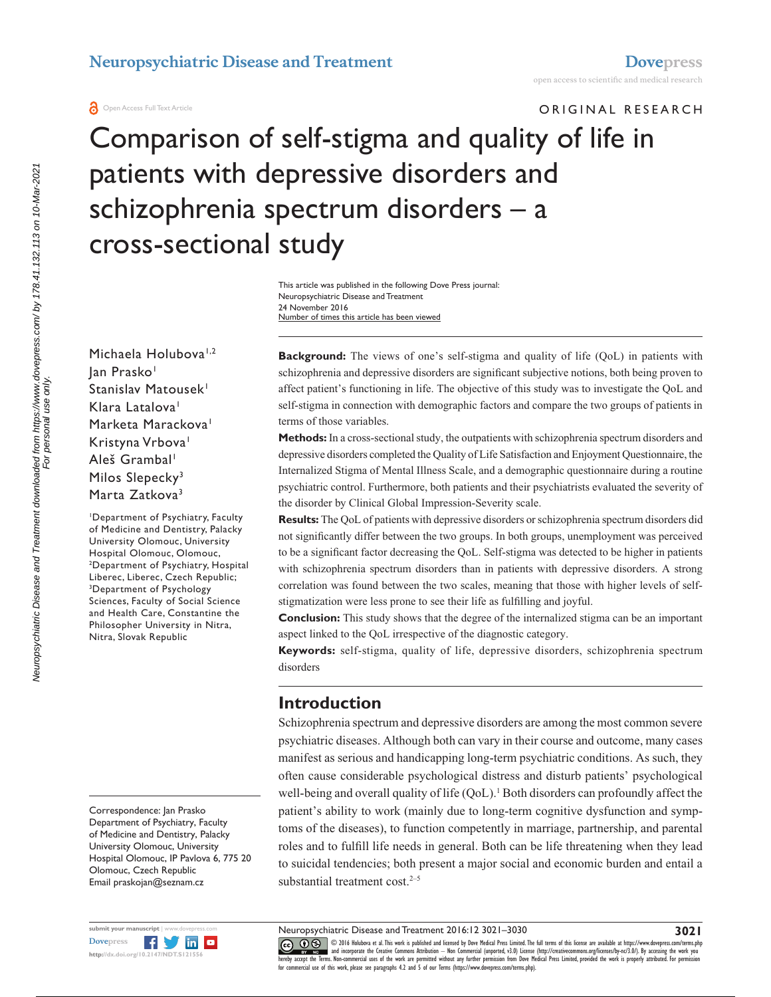# ORIGINAL RESEARCH

Comparison of self-stigma and quality of life in patients with depressive disorders and schizophrenia spectrum disorders – a cross-sectional study

> Number of times this article has been viewed This article was published in the following Dove Press journal: Neuropsychiatric Disease and Treatment 24 November 2016

Michaela Holubova<sup>1,2</sup> Jan Prasko<sup>1</sup> Stanislav Matousek<sup>1</sup> Klara Latalova<sup>1</sup> Marketa Marackova<sup>1</sup> Kristyna Vrbova<sup>1</sup> Aleš Grambal<sup>1</sup> Milos Slepecky3 Marta Zatkova<sup>3</sup>

1 Department of Psychiatry, Faculty of Medicine and Dentistry, Palacky University Olomouc, University Hospital Olomouc, Olomouc, 2 Department of Psychiatry, Hospital Liberec, Liberec, Czech Republic; 3 Department of Psychology Sciences, Faculty of Social Science and Health Care, Constantine the Philosopher University in Nitra, Nitra, Slovak Republic

Correspondence: Jan Prasko Department of Psychiatry, Faculty of Medicine and Dentistry, Palacky University Olomouc, University Hospital Olomouc, IP Pavlova 6, 775 20 Olomouc, Czech Republic Email [praskojan@seznam.cz](mailto:praskojan@seznam.cz)



**Background:** The views of one's self-stigma and quality of life (QoL) in patients with schizophrenia and depressive disorders are significant subjective notions, both being proven to affect patient's functioning in life. The objective of this study was to investigate the QoL and self-stigma in connection with demographic factors and compare the two groups of patients in terms of those variables.

**Methods:** In a cross-sectional study, the outpatients with schizophrenia spectrum disorders and depressive disorders completed the Quality of Life Satisfaction and Enjoyment Questionnaire, the Internalized Stigma of Mental Illness Scale, and a demographic questionnaire during a routine psychiatric control. Furthermore, both patients and their psychiatrists evaluated the severity of the disorder by Clinical Global Impression-Severity scale.

**Results:** The QoL of patients with depressive disorders or schizophrenia spectrum disorders did not significantly differ between the two groups. In both groups, unemployment was perceived to be a significant factor decreasing the QoL. Self-stigma was detected to be higher in patients with schizophrenia spectrum disorders than in patients with depressive disorders. A strong correlation was found between the two scales, meaning that those with higher levels of selfstigmatization were less prone to see their life as fulfilling and joyful.

**Conclusion:** This study shows that the degree of the internalized stigma can be an important aspect linked to the QoL irrespective of the diagnostic category.

**Keywords:** self-stigma, quality of life, depressive disorders, schizophrenia spectrum disorders

# **Introduction**

Schizophrenia spectrum and depressive disorders are among the most common severe psychiatric diseases. Although both can vary in their course and outcome, many cases manifest as serious and handicapping long-term psychiatric conditions. As such, they often cause considerable psychological distress and disturb patients' psychological well-being and overall quality of life  $(QoL)$ .<sup>1</sup> Both disorders can profoundly affect the patient's ability to work (mainly due to long-term cognitive dysfunction and symptoms of the diseases), to function competently in marriage, partnership, and parental roles and to fulfill life needs in general. Both can be life threatening when they lead to suicidal tendencies; both present a major social and economic burden and entail a substantial treatment  $cost.^{2-5}$ 

CCC 1 © 2016 Holubova et al. This work is published and licensed by Dove Medical Press Limited. The full terms of this license are available at <https://www.dovepress.com/terms.php><br>[hereby accept the Terms](http://www.dovepress.com/permissions.php). Non-commercial us

Neuropsychiatric Disease and Treatment 2016:12 3021–3030

**3021**

Neuropsychiatric Disease and Treatment downloaded from https://www.dovepress.com/ by 178.41.132.113 on 10-Mar-2021<br>For personal use only. Neuropsychiatric Disease and Treatment downloaded from https://www.dovepress.com/ by 178.41.132.113 on 10-Mar-2021 For personal use only.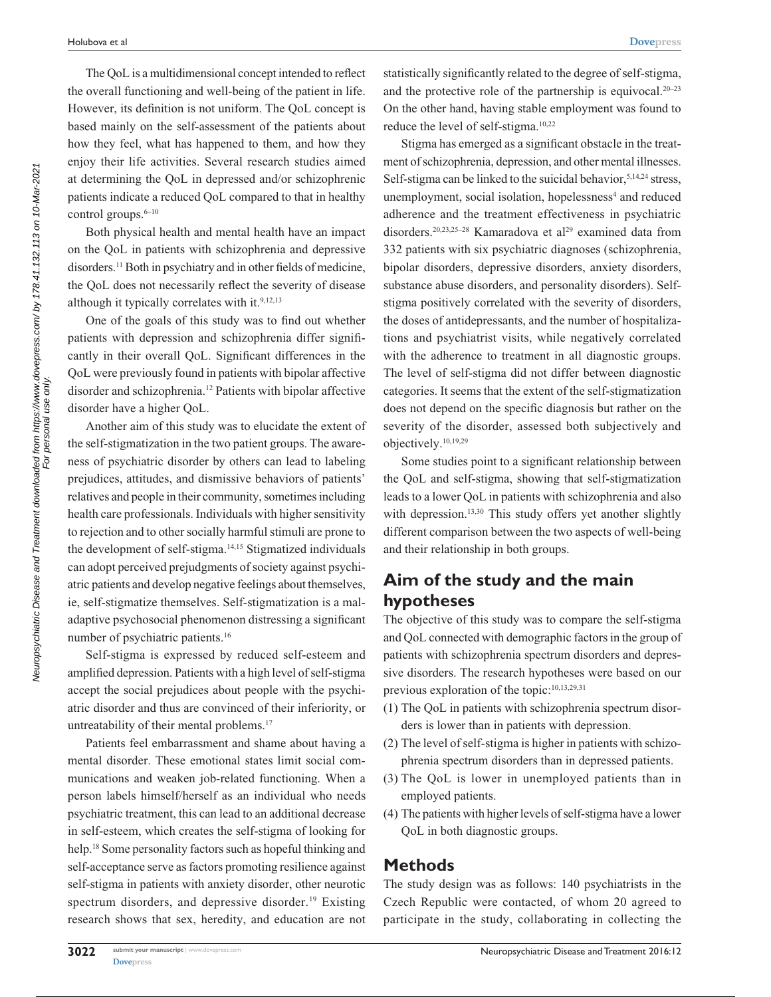The QoL is a multidimensional concept intended to reflect the overall functioning and well-being of the patient in life. However, its definition is not uniform. The QoL concept is based mainly on the self-assessment of the patients about how they feel, what has happened to them, and how they enjoy their life activities. Several research studies aimed at determining the QoL in depressed and/or schizophrenic patients indicate a reduced QoL compared to that in healthy control groups.<sup>6-10</sup>

Both physical health and mental health have an impact on the QoL in patients with schizophrenia and depressive disorders.<sup>11</sup> Both in psychiatry and in other fields of medicine, the QoL does not necessarily reflect the severity of disease although it typically correlates with it.<sup>9,12,13</sup>

One of the goals of this study was to find out whether patients with depression and schizophrenia differ significantly in their overall QoL. Significant differences in the QoL were previously found in patients with bipolar affective disorder and schizophrenia.12 Patients with bipolar affective disorder have a higher QoL.

Another aim of this study was to elucidate the extent of the self-stigmatization in the two patient groups. The awareness of psychiatric disorder by others can lead to labeling prejudices, attitudes, and dismissive behaviors of patients' relatives and people in their community, sometimes including health care professionals. Individuals with higher sensitivity to rejection and to other socially harmful stimuli are prone to the development of self-stigma.14,15 Stigmatized individuals can adopt perceived prejudgments of society against psychiatric patients and develop negative feelings about themselves, ie, self-stigmatize themselves. Self-stigmatization is a maladaptive psychosocial phenomenon distressing a significant number of psychiatric patients.16

Self-stigma is expressed by reduced self-esteem and amplified depression. Patients with a high level of self-stigma accept the social prejudices about people with the psychiatric disorder and thus are convinced of their inferiority, or untreatability of their mental problems.<sup>17</sup>

Patients feel embarrassment and shame about having a mental disorder. These emotional states limit social communications and weaken job-related functioning. When a person labels himself/herself as an individual who needs psychiatric treatment, this can lead to an additional decrease in self-esteem, which creates the self-stigma of looking for help.<sup>18</sup> Some personality factors such as hopeful thinking and self-acceptance serve as factors promoting resilience against self-stigma in patients with anxiety disorder, other neurotic spectrum disorders, and depressive disorder.<sup>19</sup> Existing research shows that sex, heredity, and education are not

statistically significantly related to the degree of self-stigma, and the protective role of the partnership is equivocal. $20-23$ On the other hand, having stable employment was found to reduce the level of self-stigma.10,22

Stigma has emerged as a significant obstacle in the treatment of schizophrenia, depression, and other mental illnesses. Self-stigma can be linked to the suicidal behavior,<sup>5,14,24</sup> stress, unemployment, social isolation, hopelessness<sup>4</sup> and reduced adherence and the treatment effectiveness in psychiatric disorders.<sup>20,23,25–28</sup> Kamaradova et al<sup>29</sup> examined data from 332 patients with six psychiatric diagnoses (schizophrenia, bipolar disorders, depressive disorders, anxiety disorders, substance abuse disorders, and personality disorders). Selfstigma positively correlated with the severity of disorders, the doses of antidepressants, and the number of hospitalizations and psychiatrist visits, while negatively correlated with the adherence to treatment in all diagnostic groups. The level of self-stigma did not differ between diagnostic categories. It seems that the extent of the self-stigmatization does not depend on the specific diagnosis but rather on the severity of the disorder, assessed both subjectively and objectively.10,19,29

Some studies point to a significant relationship between the QoL and self-stigma, showing that self-stigmatization leads to a lower QoL in patients with schizophrenia and also with depression.<sup>13,30</sup> This study offers yet another slightly different comparison between the two aspects of well-being and their relationship in both groups.

# **Aim of the study and the main hypotheses**

The objective of this study was to compare the self-stigma and QoL connected with demographic factors in the group of patients with schizophrenia spectrum disorders and depressive disorders. The research hypotheses were based on our previous exploration of the topic:<sup>10,13,29,31</sup>

- (1) The QoL in patients with schizophrenia spectrum disorders is lower than in patients with depression.
- (2) The level of self-stigma is higher in patients with schizophrenia spectrum disorders than in depressed patients.
- (3) The QoL is lower in unemployed patients than in employed patients.
- (4) The patients with higher levels of self-stigma have a lower QoL in both diagnostic groups.

### **Methods**

The study design was as follows: 140 psychiatrists in the Czech Republic were contacted, of whom 20 agreed to participate in the study, collaborating in collecting the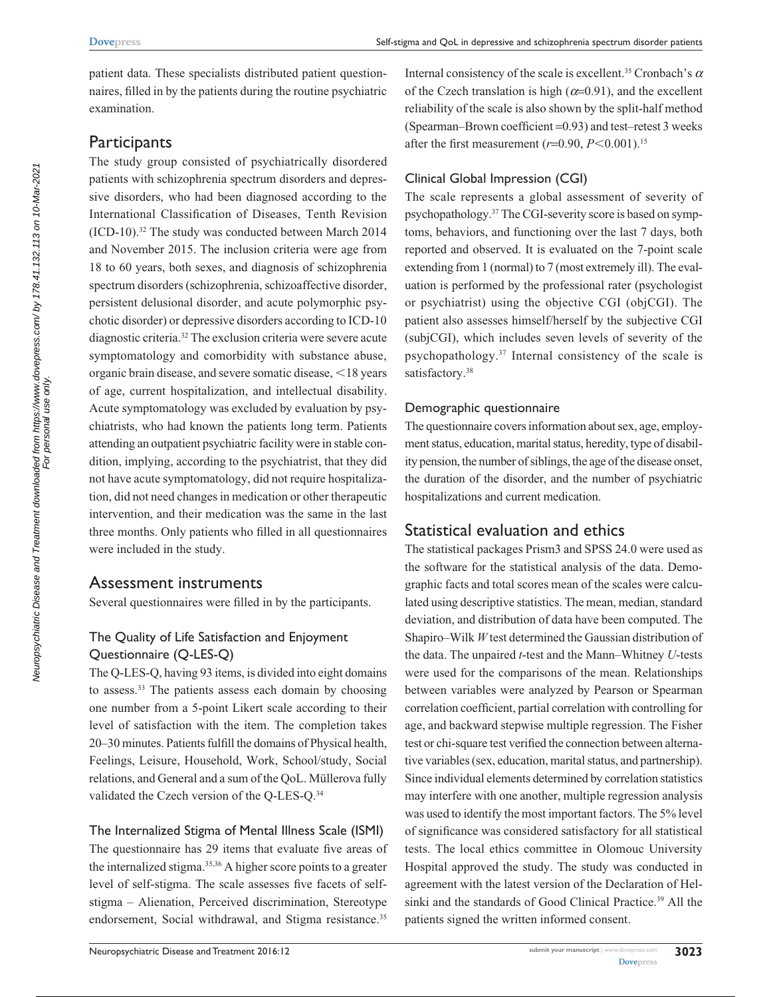patient data. These specialists distributed patient questionnaires, filled in by the patients during the routine psychiatric examination.

### **Participants**

The study group consisted of psychiatrically disordered patients with schizophrenia spectrum disorders and depressive disorders, who had been diagnosed according to the International Classification of Diseases, Tenth Revision (ICD-10).32 The study was conducted between March 2014 and November 2015. The inclusion criteria were age from 18 to 60 years, both sexes, and diagnosis of schizophrenia spectrum disorders (schizophrenia, schizoaffective disorder, persistent delusional disorder, and acute polymorphic psychotic disorder) or depressive disorders according to ICD-10 diagnostic criteria.32 The exclusion criteria were severe acute symptomatology and comorbidity with substance abuse, organic brain disease, and severe somatic disease, <18 years of age, current hospitalization, and intellectual disability. Acute symptomatology was excluded by evaluation by psychiatrists, who had known the patients long term. Patients attending an outpatient psychiatric facility were in stable condition, implying, according to the psychiatrist, that they did not have acute symptomatology, did not require hospitalization, did not need changes in medication or other therapeutic intervention, and their medication was the same in the last three months. Only patients who filled in all questionnaires were included in the study.

#### Assessment instruments

Several questionnaires were filled in by the participants.

#### The Quality of Life Satisfaction and Enjoyment Questionnaire (Q-LES-Q)

The Q-LES-Q, having 93 items, is divided into eight domains to assess.33 The patients assess each domain by choosing one number from a 5-point Likert scale according to their level of satisfaction with the item. The completion takes 20–30 minutes. Patients fulfill the domains of Physical health, Feelings, Leisure, Household, Work, School/study, Social relations, and General and a sum of the QoL. Müllerova fully validated the Czech version of the Q-LES-Q.34

The Internalized Stigma of Mental Illness Scale (ISMI) The questionnaire has 29 items that evaluate five areas of the internalized stigma.35,36 A higher score points to a greater level of self-stigma. The scale assesses five facets of selfstigma – Alienation, Perceived discrimination, Stereotype endorsement, Social withdrawal, and Stigma resistance.<sup>35</sup>

Internal consistency of the scale is excellent.35 Cronbach's *α* of the Czech translation is high (*α*=0.91), and the excellent reliability of the scale is also shown by the split-half method (Spearman–Brown coefficient =0.93) and test–retest 3 weeks after the first measurement  $(r=0.90, P<0.001).$ <sup>15</sup>

#### Clinical Global Impression (CGI)

The scale represents a global assessment of severity of psychopathology.37 The CGI-severity score is based on symptoms, behaviors, and functioning over the last 7 days, both reported and observed. It is evaluated on the 7-point scale extending from 1 (normal) to 7 (most extremely ill). The evaluation is performed by the professional rater (psychologist or psychiatrist) using the objective CGI (objCGI). The patient also assesses himself/herself by the subjective CGI (subjCGI), which includes seven levels of severity of the psychopathology.37 Internal consistency of the scale is satisfactory.<sup>38</sup>

#### Demographic questionnaire

The questionnaire covers information about sex, age, employment status, education, marital status, heredity, type of disability pension, the number of siblings, the age of the disease onset, the duration of the disorder, and the number of psychiatric hospitalizations and current medication.

### Statistical evaluation and ethics

The statistical packages Prism3 and SPSS 24.0 were used as the software for the statistical analysis of the data. Demographic facts and total scores mean of the scales were calculated using descriptive statistics. The mean, median, standard deviation, and distribution of data have been computed. The Shapiro–Wilk *W* test determined the Gaussian distribution of the data. The unpaired *t*-test and the Mann–Whitney *U*-tests were used for the comparisons of the mean. Relationships between variables were analyzed by Pearson or Spearman correlation coefficient, partial correlation with controlling for age, and backward stepwise multiple regression. The Fisher test or chi-square test verified the connection between alternative variables (sex, education, marital status, and partnership). Since individual elements determined by correlation statistics may interfere with one another, multiple regression analysis was used to identify the most important factors. The 5% level of significance was considered satisfactory for all statistical tests. The local ethics committee in Olomouc University Hospital approved the study. The study was conducted in agreement with the latest version of the Declaration of Helsinki and the standards of Good Clinical Practice.<sup>39</sup> All the patients signed the written informed consent.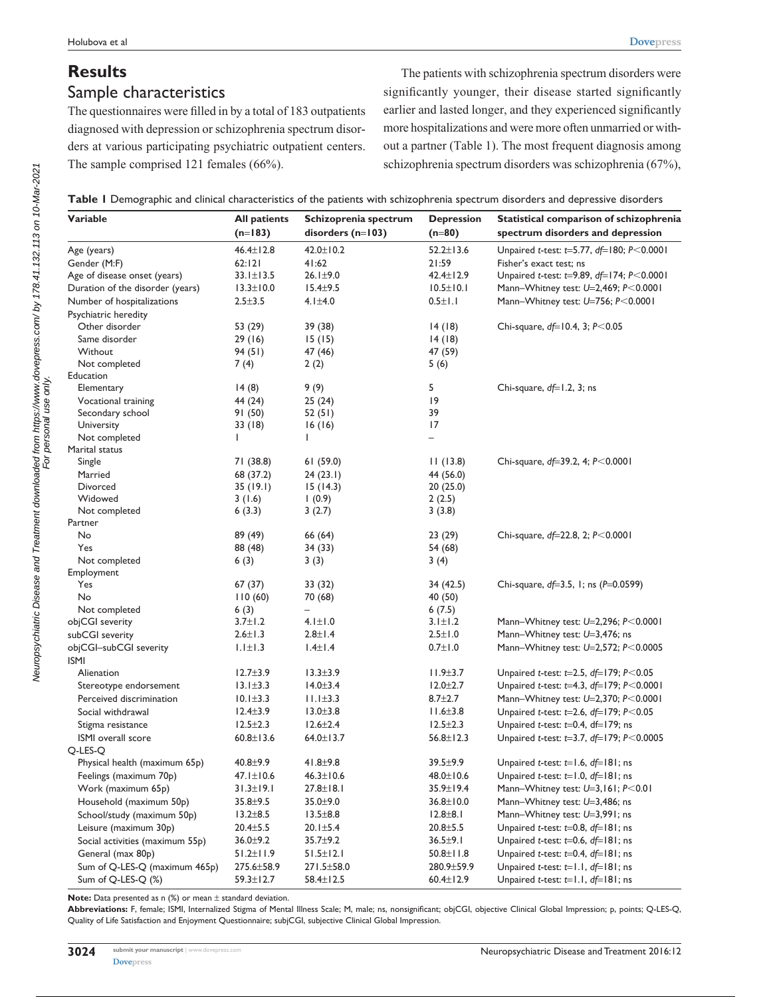# **Results** Sample characteristics

The questionnaires were filled in by a total of 183 outpatients diagnosed with depression or schizophrenia spectrum disorders at various participating psychiatric outpatient centers. The sample comprised 121 females (66%).

The patients with schizophrenia spectrum disorders were significantly younger, their disease started significantly earlier and lasted longer, and they experienced significantly more hospitalizations and were more often unmarried or without a partner (Table 1). The most frequent diagnosis among schizophrenia spectrum disorders was schizophrenia (67%),

| Table I Demographic and clinical characteristics of the patients with schizophrenia spectrum disorders and depressive disorders |  |  |  |  |  |
|---------------------------------------------------------------------------------------------------------------------------------|--|--|--|--|--|
|                                                                                                                                 |  |  |  |  |  |

| Variable                         | <b>All patients</b> | Schizoprenia spectrum    | <b>Depression</b> | Statistical comparison of schizophrenia                        |  |  |  |
|----------------------------------|---------------------|--------------------------|-------------------|----------------------------------------------------------------|--|--|--|
|                                  | $(n=183)$           | disorders $(n=103)$      | $(n=80)$          | spectrum disorders and depression                              |  |  |  |
| Age (years)                      | $46.4 \pm 12.8$     | $42.0 \pm 10.2$          | $52.2 \pm 13.6$   | Unpaired t-test: t=5.77, $df=180$ ; $P<0.0001$                 |  |  |  |
| Gender (M:F)                     | 62:121              | 41:62                    | 21:59             | Fisher's exact test; ns                                        |  |  |  |
| Age of disease onset (years)     | $33.1 \pm 13.5$     | $26.1 \pm 9.0$           | $42.4 \pm 12.9$   | Unpaired <i>t</i> -test: <i>t</i> =9.89, $df=174$ ; $P<0.0001$ |  |  |  |
| Duration of the disorder (years) | $13.3 \pm 10.0$     | $15.4 \pm 9.5$           | $10.5 \pm 10.1$   | Mann-Whitney test: U=2,469; P<0.0001                           |  |  |  |
| Number of hospitalizations       | $2.5 + 3.5$         | 4.1 $±4.0$               | $0.5 \pm 1.1$     | Mann-Whitney test: U=756; P<0.0001                             |  |  |  |
| Psychiatric heredity             |                     |                          |                   |                                                                |  |  |  |
| Other disorder                   | 53 (29)             | 39 (38)                  | 14(18)            | Chi-square, $df=10.4$ , 3; $P<0.05$                            |  |  |  |
| Same disorder                    | 29(16)              | 15(15)                   | 14(18)            |                                                                |  |  |  |
| Without                          | 94(51)              | 47 (46)                  | 47 (59)           |                                                                |  |  |  |
| Not completed                    | 7(4)                | 2(2)                     | 5(6)              |                                                                |  |  |  |
| Education                        |                     |                          |                   |                                                                |  |  |  |
| Elementary                       | 14(8)               | 9(9)                     | 5                 | Chi-square, $df=1.2$ , 3; ns                                   |  |  |  |
| Vocational training              | 44 (24)             | 25(24)                   | 19                |                                                                |  |  |  |
| Secondary school                 | 91 (50)             | 52(51)                   | 39                |                                                                |  |  |  |
| University                       | 33 (18)             | 16(16)                   | 17                |                                                                |  |  |  |
| Not completed                    | T                   | L                        | -                 |                                                                |  |  |  |
| Marital status                   |                     |                          |                   |                                                                |  |  |  |
| Single                           | 71 (38.8)           | 61(59.0)                 | 11(13.8)          | Chi-square, df=39.2, 4; P<0.0001                               |  |  |  |
| Married                          | 68 (37.2)           | 24(23.1)                 | 44 (56.0)         |                                                                |  |  |  |
| Divorced                         | 35(19.1)            | 15(14.3)                 | 20 (25.0)         |                                                                |  |  |  |
| Widowed                          | 3 (1.6)             | 1(0.9)                   | 2(2.5)            |                                                                |  |  |  |
| Not completed                    | 6(3.3)              | 3(2.7)                   | 3(3.8)            |                                                                |  |  |  |
| Partner<br>No                    |                     |                          |                   | Chi-square, df=22.8, 2; P<0.0001                               |  |  |  |
| Yes                              | 89 (49)             | 66 (64)                  | 23(29)            |                                                                |  |  |  |
|                                  | 88 (48)             | 34(33)                   | 54 (68)           |                                                                |  |  |  |
| Not completed<br>Employment      | 6(3)                | 3(3)                     | 3(4)              |                                                                |  |  |  |
| Yes                              | 67(37)              | 33 (32)                  | 34 (42.5)         | Chi-square, $df=3.5$ , I; ns (P=0.0599)                        |  |  |  |
| No                               | 110(60)             | 70 (68)                  | 40 (50)           |                                                                |  |  |  |
| Not completed                    | 6(3)                | $\overline{\phantom{0}}$ | 6(7.5)            |                                                                |  |  |  |
| objCGI severity                  | $3.7 \pm 1.2$       | $4.1 \pm 1.0$            | $3.1 \pm 1.2$     | Mann-Whitney test: U=2,296; P<0.0001                           |  |  |  |
| subCGI severity                  | $2.6 \pm 1.3$       | $2.8 \pm 1.4$            | $2.5 \pm 1.0$     | Mann-Whitney test: U=3,476; ns                                 |  |  |  |
| objCGI-subCGI severity           | $1.1 \pm 1.3$       | $1.4 \pm 1.4$            | $0.7 \pm 1.0$     | Mann-Whitney test: U=2,572; P<0.0005                           |  |  |  |
| ISMI                             |                     |                          |                   |                                                                |  |  |  |
| Alienation                       | $12.7 \pm 3.9$      | $13.3 \pm 3.9$           | $11.9 \pm 3.7$    | Unpaired <i>t</i> -test: $t=2.5$ , $df=179$ ; $P<0.05$         |  |  |  |
| Stereotype endorsement           | $13.1 \pm 3.3$      | $14.0 \pm 3.4$           | $12.0 \pm 2.7$    | Unpaired <i>t</i> -test: $t=4.3$ , $df=179$ ; $P<0.0001$       |  |  |  |
| Perceived discrimination         | $10.1 \pm 3.3$      | $11.1 \pm 3.3$           | $8.7 \pm 2.7$     | Mann-Whitney test: U=2,370; P<0.0001                           |  |  |  |
| Social withdrawal                | $12.4 \pm 3.9$      | $13.0 \pm 3.8$           | $11.6 \pm 3.8$    | Unpaired <i>t</i> -test: $t=2.6$ , $df=179$ ; $P<0.05$         |  |  |  |
| Stigma resistance                | $12.5 \pm 2.3$      | $12.6 \pm 2.4$           | $12.5 \pm 2.3$    | Unpaired t-test: $t=0.4$ , df=179; ns                          |  |  |  |
| ISMI overall score               | $60.8 \pm 13.6$     | 64.0 $\pm$ 13.7          | $56.8 \pm 12.3$   | Unpaired <i>t</i> -test: $t=3.7$ , $df=179$ ; $P<0.0005$       |  |  |  |
| Q-LES-Q                          |                     |                          |                   |                                                                |  |  |  |
| Physical health (maximum 65p)    | $40.8 + 9.9$        | $41.8 \pm 9.8$           | $39.5 + 9.9$      | Unpaired t-test: $t=1.6$ , $df=181$ ; ns                       |  |  |  |
| Feelings (maximum 70p)           | $47.1 \pm 10.6$     | $46.3 \pm 10.6$          | $48.0 \pm 10.6$   | Unpaired t-test: $t=1.0$ , $df=181$ ; ns                       |  |  |  |
| Work (maximum 65p)               | $31.3 \pm 19.1$     | 27.8±18.1                | $35.9 \pm 19.4$   | Mann-Whitney test: U=3,161; P<0.01                             |  |  |  |
|                                  |                     |                          |                   |                                                                |  |  |  |
| Household (maximum 50p)          | 35.8±9.5            | $35.0 + 9.0$             | $36.8 \pm 10.0$   | Mann-Whitney test: U=3,486; ns                                 |  |  |  |
| School/study (maximum 50p)       | $13.2 \pm 8.5$      | $13.5 \pm 8.8$           | $12.8 \pm 8.1$    | Mann-Whitney test: U=3,991; ns                                 |  |  |  |
| Leisure (maximum 30p)            | 20.4±5.5            | 20. I ±5.4               | $20.8 \pm 5.5$    | Unpaired t-test: $t=0.8$ , $df=181$ ; ns                       |  |  |  |
| Social activities (maximum 55p)  | $36.0 \pm 9.2$      | 35.7±9.2                 | $36.5 \pm 9.1$    | Unpaired t-test: $t=0.6$ , $df=181$ ; ns                       |  |  |  |
| General (max 80p)                | 51.2±11.9           | $51.5 \pm 12.1$          | $50.8 \pm 11.8$   | Unpaired t-test: $t=0.4$ , $df=181$ ; ns                       |  |  |  |
| Sum of Q-LES-Q (maximum 465p)    | $275.6 \pm 58.9$    | 271.5±58.0               | 280.9±59.9        | Unpaired <i>t</i> -test: $t=1.1$ , $df=181$ ; ns               |  |  |  |
| Sum of Q-LES-Q (%)               | $59.3 \pm 12.7$     | 58.4±12.5                | $60.4 \pm 12.9$   | Unpaired t-test: $t=1.1$ , $df=181$ ; ns                       |  |  |  |

**Note:** Data presented as n (%) or mean ± standard deviation.

**Abbreviations:** F, female; ISMI, Internalized Stigma of Mental Illness Scale; M, male; ns, nonsignificant; objCGI, objective Clinical Global Impression; p, points; Q-LES-Q, Quality of Life Satisfaction and Enjoyment Questionnaire; subjCGI, subjective Clinical Global Impression.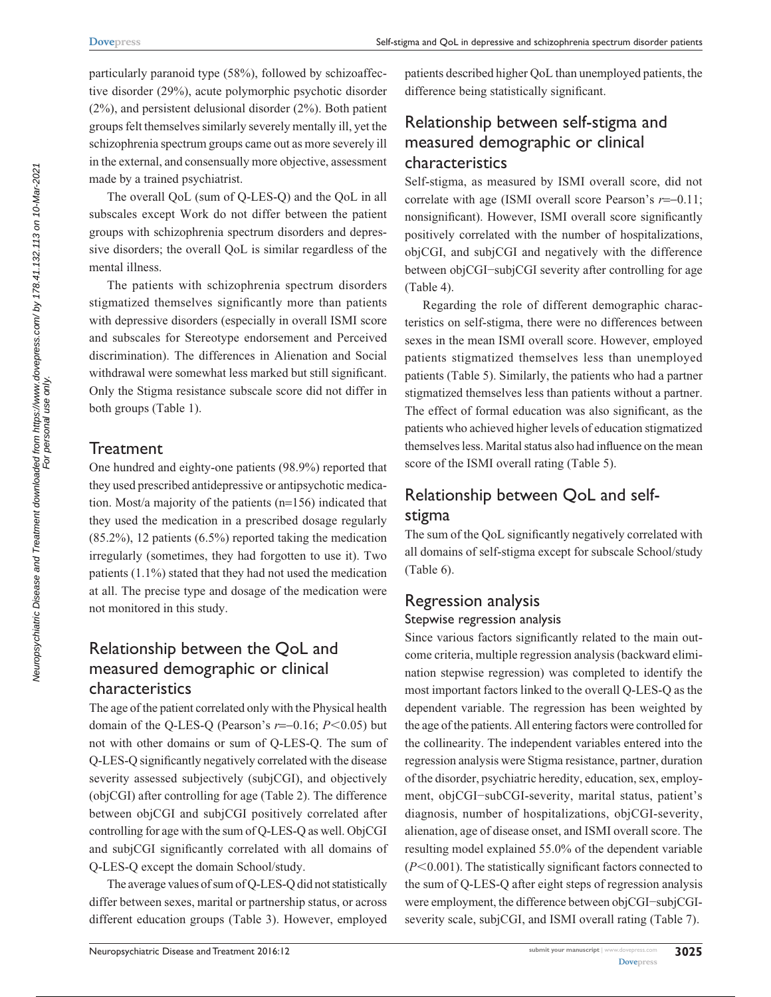particularly paranoid type (58%), followed by schizoaffective disorder (29%), acute polymorphic psychotic disorder (2%), and persistent delusional disorder (2%). Both patient groups felt themselves similarly severely mentally ill, yet the schizophrenia spectrum groups came out as more severely ill in the external, and consensually more objective, assessment made by a trained psychiatrist.

The overall QoL (sum of Q-LES-Q) and the QoL in all subscales except Work do not differ between the patient groups with schizophrenia spectrum disorders and depressive disorders; the overall QoL is similar regardless of the mental illness.

The patients with schizophrenia spectrum disorders stigmatized themselves significantly more than patients with depressive disorders (especially in overall ISMI score and subscales for Stereotype endorsement and Perceived discrimination). The differences in Alienation and Social withdrawal were somewhat less marked but still significant. Only the Stigma resistance subscale score did not differ in both groups (Table 1).

### **Treatment**

One hundred and eighty-one patients (98.9%) reported that they used prescribed antidepressive or antipsychotic medication. Most/a majority of the patients (n=156) indicated that they used the medication in a prescribed dosage regularly (85.2%), 12 patients (6.5%) reported taking the medication irregularly (sometimes, they had forgotten to use it). Two patients (1.1%) stated that they had not used the medication at all. The precise type and dosage of the medication were not monitored in this study.

# Relationship between the QoL and measured demographic or clinical characteristics

The age of the patient correlated only with the Physical health domain of the Q-LES-Q (Pearson's *r*=−0.16; *P*<0.05) but not with other domains or sum of Q-LES-Q. The sum of Q-LES-Q significantly negatively correlated with the disease severity assessed subjectively (subjCGI), and objectively (objCGI) after controlling for age (Table 2). The difference between objCGI and subjCGI positively correlated after controlling for age with the sum of Q-LES-Q as well. ObjCGI and subjCGI significantly correlated with all domains of Q-LES-Q except the domain School/study.

The average values of sum of Q-LES-Q did not statistically differ between sexes, marital or partnership status, or across different education groups (Table 3). However, employed

patients described higher QoL than unemployed patients, the difference being statistically significant.

# Relationship between self-stigma and measured demographic or clinical characteristics

Self-stigma, as measured by ISMI overall score, did not correlate with age (ISMI overall score Pearson's *r*=−0.11; nonsignificant). However, ISMI overall score significantly positively correlated with the number of hospitalizations, objCGI, and subjCGI and negatively with the difference between objCGI−subjCGI severity after controlling for age (Table 4).

Regarding the role of different demographic characteristics on self-stigma, there were no differences between sexes in the mean ISMI overall score. However, employed patients stigmatized themselves less than unemployed patients (Table 5). Similarly, the patients who had a partner stigmatized themselves less than patients without a partner. The effect of formal education was also significant, as the patients who achieved higher levels of education stigmatized themselves less. Marital status also had influence on the mean score of the ISMI overall rating (Table 5).

# Relationship between QoL and selfstigma

The sum of the QoL significantly negatively correlated with all domains of self-stigma except for subscale School/study (Table 6).

# Regression analysis

#### Stepwise regression analysis

Since various factors significantly related to the main outcome criteria, multiple regression analysis (backward elimination stepwise regression) was completed to identify the most important factors linked to the overall Q-LES-Q as the dependent variable. The regression has been weighted by the age of the patients. All entering factors were controlled for the collinearity. The independent variables entered into the regression analysis were Stigma resistance, partner, duration of the disorder, psychiatric heredity, education, sex, employment, objCGI−subCGI-severity, marital status, patient's diagnosis, number of hospitalizations, objCGI-severity, alienation, age of disease onset, and ISMI overall score. The resulting model explained 55.0% of the dependent variable  $(P<0.001)$ . The statistically significant factors connected to the sum of Q-LES-Q after eight steps of regression analysis were employment, the difference between objCGI−subjCGIseverity scale, subjCGI, and ISMI overall rating (Table 7).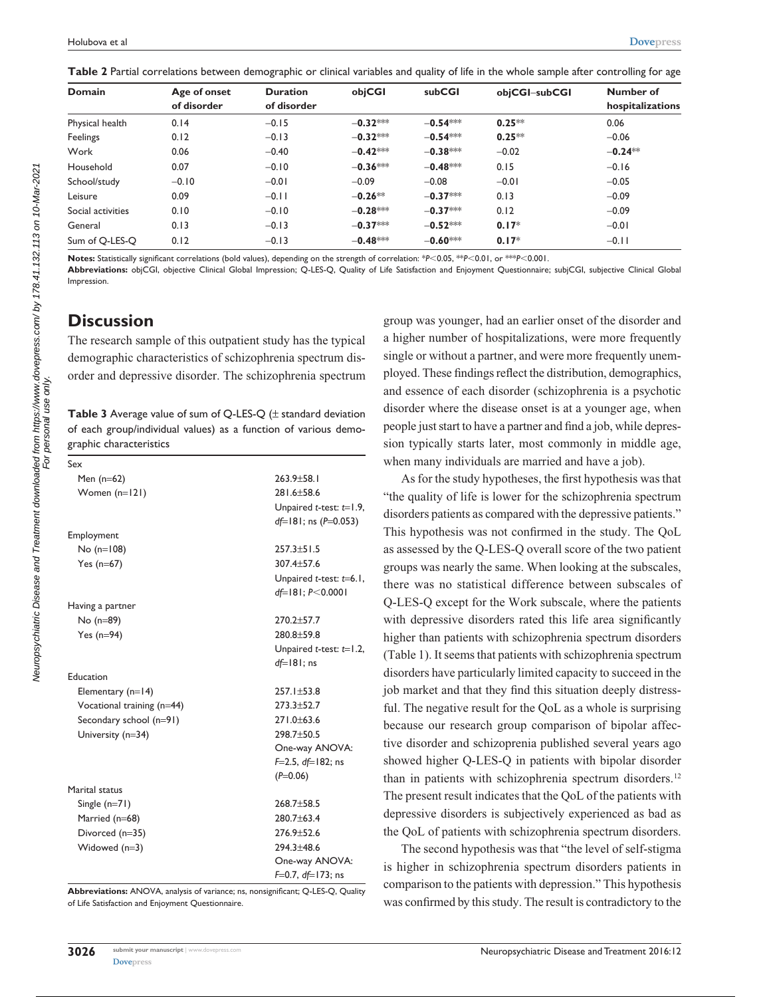Table 2 Partial correlations between demographic or clinical variables and quality of life in the whole sample after controlling for age

| <b>Domain</b>     | Age of onset<br>of disorder | <b>Duration</b><br>of disorder | objCGI     | subCGI     | objCGI-subCGI | Number of<br>hospitalizations |
|-------------------|-----------------------------|--------------------------------|------------|------------|---------------|-------------------------------|
| Physical health   | 0.14                        | $-0.15$                        | $-0.32***$ | $-0.54***$ | $0.25**$      | 0.06                          |
| Feelings          | 0.12                        | $-0.13$                        | $-0.32***$ | $-0.54***$ | $0.25**$      | $-0.06$                       |
| Work              | 0.06                        | $-0.40$                        | $-0.42***$ | $-0.38***$ | $-0.02$       | $-0.24**$                     |
| Household         | 0.07                        | $-0.10$                        | $-0.36***$ | $-0.48***$ | 0.15          | $-0.16$                       |
| School/study      | $-0.10$                     | $-0.01$                        | $-0.09$    | $-0.08$    | $-0.01$       | $-0.05$                       |
| Leisure           | 0.09                        | $-0.11$                        | $-0.26**$  | $-0.37***$ | 0.13          | $-0.09$                       |
| Social activities | 0.10                        | $-0.10$                        | $-0.28***$ | $-0.37***$ | 0.12          | $-0.09$                       |
| General           | 0.13                        | $-0.13$                        | $-0.37***$ | $-0.52***$ | $0.17*$       | $-0.01$                       |
| Sum of Q-LES-Q    | 0.12                        | $-0.13$                        | $-0.48***$ | $-0.60***$ | $0.17*$       | $-0.11$                       |

**Notes:** Statistically significant correlations (bold values), depending on the strength of correlation: \**P*<0.05, \*\**P*<0.01, or \*\**P*<0.001.

**Abbreviations:** objCGI, objective Clinical Global Impression; Q-LES-Q, Quality of Life Satisfaction and Enjoyment Questionnaire; subjCGI, subjective Clinical Global Impression.

# **Discussion**

The research sample of this outpatient study has the typical demographic characteristics of schizophrenia spectrum disorder and depressive disorder. The schizophrenia spectrum

**Table 3** Average value of sum of Q-LES-Q (± standard deviation of each group/individual values) as a function of various demographic characteristics

| Sex                        |                                    |
|----------------------------|------------------------------------|
| Men $(n=62)$               | $263.9 \pm 58.1$                   |
| Women (n=121)              | $281.6 + 58.6$                     |
|                            | Unpaired t-test: $t=1.9$ ,         |
|                            | $df=181$ ; ns (P=0.053)            |
| Employment                 |                                    |
| $No$ (n=108)               | $257.3 \pm 51.5$                   |
| Yes $(n=67)$               | $307.4 + 57.6$                     |
|                            | Unpaired $t$ -test: $t=6.1$ ,      |
|                            | $df=181; P<0.0001$                 |
| Having a partner           |                                    |
| No (n=89)                  | $270.2 + 57.7$                     |
| Yes $(n=94)$               | 280.8±59.8                         |
|                            | Unpaired <i>t</i> -test: $t=1.2$ , |
|                            | $df=181$ ; ns                      |
| Education                  |                                    |
| Elementary $(n=14)$        | $257.1 \pm 53.8$                   |
| Vocational training (n=44) | $273.3 + 52.7$                     |
| Secondary school (n=91)    | $271.0 + 63.6$                     |
| University (n=34)          | $298.7 + 50.5$                     |
|                            | One-way ANOVA:                     |
|                            | $F=2.5$ , $df=182$ ; ns            |
|                            | $(P=0.06)$                         |
| Marital status             |                                    |
| Single $(n=71)$            | $268.7 \pm 58.5$                   |
| Married (n=68)             | 280.7±63.4                         |
| Divorced (n=35)            | $276.9 + 52.6$                     |
| Widowed (n=3)              | $294.3 + 48.6$                     |
|                            | One-way ANOVA:                     |
|                            | $F=0.7$ , df=173; ns               |

**Abbreviations:** ANOVA, analysis of variance; ns, nonsignificant; Q-LES-Q, Quality of Life Satisfaction and Enjoyment Questionnaire.

group was younger, had an earlier onset of the disorder and a higher number of hospitalizations, were more frequently single or without a partner, and were more frequently unemployed. These findings reflect the distribution, demographics, and essence of each disorder (schizophrenia is a psychotic disorder where the disease onset is at a younger age, when people just start to have a partner and find a job, while depression typically starts later, most commonly in middle age, when many individuals are married and have a job).

As for the study hypotheses, the first hypothesis was that "the quality of life is lower for the schizophrenia spectrum disorders patients as compared with the depressive patients." This hypothesis was not confirmed in the study. The QoL as assessed by the Q-LES-Q overall score of the two patient groups was nearly the same. When looking at the subscales, there was no statistical difference between subscales of Q-LES-Q except for the Work subscale, where the patients with depressive disorders rated this life area significantly higher than patients with schizophrenia spectrum disorders (Table 1). It seems that patients with schizophrenia spectrum disorders have particularly limited capacity to succeed in the job market and that they find this situation deeply distressful. The negative result for the QoL as a whole is surprising because our research group comparison of bipolar affective disorder and schizoprenia published several years ago showed higher Q-LES-Q in patients with bipolar disorder than in patients with schizophrenia spectrum disorders.<sup>12</sup> The present result indicates that the QoL of the patients with depressive disorders is subjectively experienced as bad as the QoL of patients with schizophrenia spectrum disorders.

The second hypothesis was that "the level of self-stigma is higher in schizophrenia spectrum disorders patients in comparison to the patients with depression." This hypothesis was confirmed by this study. The result is contradictory to the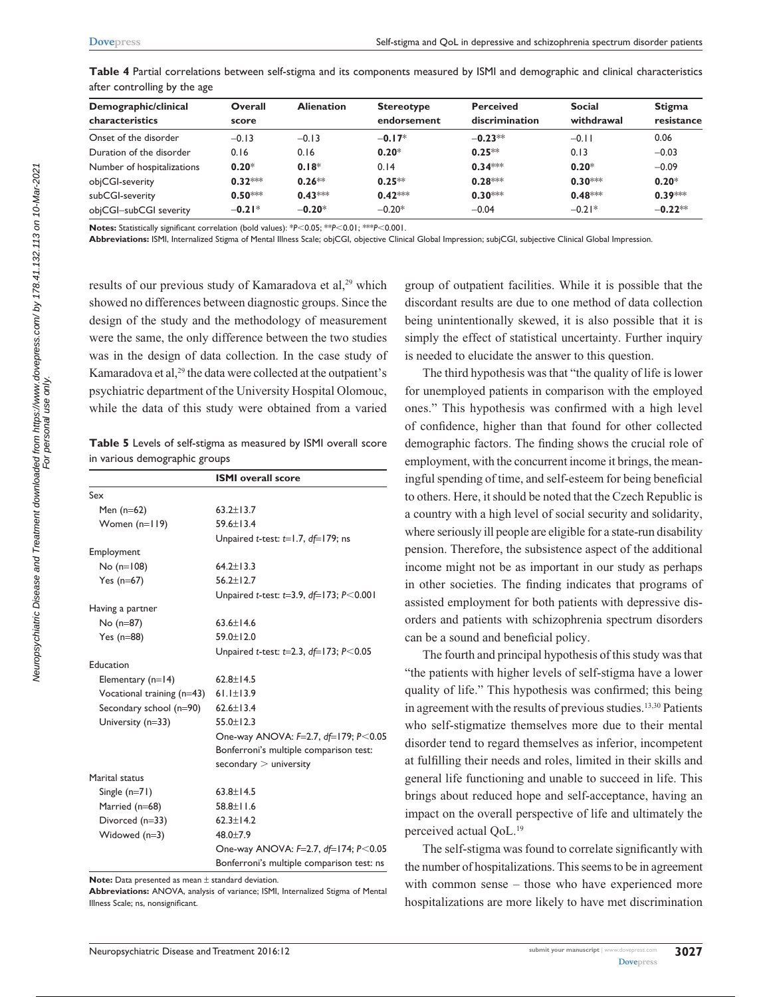|                              |  |  |  | Table 4 Partial correlations between self-stigma and its components measured by ISMI and demographic and clinical characteristics |
|------------------------------|--|--|--|-----------------------------------------------------------------------------------------------------------------------------------|
| after controlling by the age |  |  |  |                                                                                                                                   |

| Demographic/clinical       | Overall   | <b>Alienation</b> | <b>Stereotype</b> | <b>Perceived</b> | <b>Social</b> | <b>Stigma</b> |
|----------------------------|-----------|-------------------|-------------------|------------------|---------------|---------------|
| characteristics            | score     |                   | endorsement       | discrimination   | withdrawal    | resistance    |
| Onset of the disorder      | $-0.13$   | $-0.13$           | $-0.17*$          | $-0.23**$        | $-0.11$       | 0.06          |
| Duration of the disorder   | 0.16      | 0.16              | $0.20*$           | $0.25**$         | 0.13          | $-0.03$       |
| Number of hospitalizations | $0.20*$   | $0.18*$           | 0.14              | $0.34***$        | $0.20*$       | $-0.09$       |
| objCGI-severity            | $0.32***$ | $0.26**$          | $0.25**$          | $0.28***$        | $0.30***$     | $0.20*$       |
| subCGI-severity            | $0.50***$ | $0.43***$         | $0.42***$         | $0.30***$        | $0.48***$     | $0.39***$     |
| objCGI-subCGI severity     | $-0.21*$  | $-0.20*$          | $-0.20*$          | $-0.04$          | $-0.21*$      | $-0.22**$     |

**Notes:** Statistically significant correlation (bold values): \*P<0.05; \*\*P<0.01; \*\*\*P<0.001.

**Abbreviations:** ISMI, Internalized Stigma of Mental Illness Scale; objCGI, objective Clinical Global Impression; subjCGI, subjective Clinical Global Impression.

results of our previous study of Kamaradova et al,<sup>29</sup> which showed no differences between diagnostic groups. Since the design of the study and the methodology of measurement were the same, the only difference between the two studies was in the design of data collection. In the case study of Kamaradova et al,<sup>29</sup> the data were collected at the outpatient's psychiatric department of the University Hospital Olomouc, while the data of this study were obtained from a varied

| <b>Table 5</b> Levels of self-stigma as measured by ISMI overall score |  |  |  |
|------------------------------------------------------------------------|--|--|--|
| in various demographic groups                                          |  |  |  |

|                            | <b>ISMI</b> overall score                               |
|----------------------------|---------------------------------------------------------|
| Sex                        |                                                         |
| Men $(n=62)$               | $63.2 \pm 13.7$                                         |
| Women (n=119)              | $59.6 \pm 13.4$                                         |
|                            | Unpaired t-test: $t=1.7$ , $df=179$ ; ns                |
| Employment                 |                                                         |
| $No$ (n=108)               | $64.2 + 13.3$                                           |
| Yes $(n=67)$               | $56.2 + 12.7$                                           |
|                            | Unpaired <i>t</i> -test: $t=3.9$ , $df=173$ ; $P<0.001$ |
| Having a partner           |                                                         |
| No (n=87)                  | $63.6 + 14.6$                                           |
| Yes $(n=88)$               | $59.0 + 12.0$                                           |
|                            | Unpaired t-test: t=2.3, $df=173$ ; $P<0.05$             |
| Education                  |                                                         |
| Elementary $(n=14)$        | $62.8 \pm 14.5$                                         |
| Vocational training (n=43) | $61.1 \pm 13.9$                                         |
| Secondary school (n=90)    | $62.6 \pm 13.4$                                         |
| University (n=33)          | $55.0 \pm 12.3$                                         |
|                            | One-way ANOVA: F=2.7, df=179; P<0.05                    |
|                            | Bonferroni's multiple comparison test:                  |
|                            | $secondary$ > university                                |
| Marital status             |                                                         |
| Single $(n=71)$            | $63.8 \pm 14.5$                                         |
| Married (n=68)             | $58.8 \pm 11.6$                                         |
| Divorced (n=33)            | $62.3 + 14.2$                                           |
| Widowed (n=3)              | $48.0 + 7.9$                                            |
|                            | One-way ANOVA: F=2.7, df=174; P<0.05                    |
|                            | Bonferroni's multiple comparison test: ns               |

**Note:** Data presented as mean ± standard deviation.

**Abbreviations:** ANOVA, analysis of variance; ISMI, Internalized Stigma of Mental Illness Scale; ns, nonsignificant.

group of outpatient facilities. While it is possible that the discordant results are due to one method of data collection being unintentionally skewed, it is also possible that it is simply the effect of statistical uncertainty. Further inquiry is needed to elucidate the answer to this question.

The third hypothesis was that "the quality of life is lower for unemployed patients in comparison with the employed ones." This hypothesis was confirmed with a high level of confidence, higher than that found for other collected demographic factors. The finding shows the crucial role of employment, with the concurrent income it brings, the meaningful spending of time, and self-esteem for being beneficial to others. Here, it should be noted that the Czech Republic is a country with a high level of social security and solidarity, where seriously ill people are eligible for a state-run disability pension. Therefore, the subsistence aspect of the additional income might not be as important in our study as perhaps in other societies. The finding indicates that programs of assisted employment for both patients with depressive disorders and patients with schizophrenia spectrum disorders can be a sound and beneficial policy.

The fourth and principal hypothesis of this study was that "the patients with higher levels of self-stigma have a lower quality of life." This hypothesis was confirmed; this being in agreement with the results of previous studies.<sup>13,30</sup> Patients who self-stigmatize themselves more due to their mental disorder tend to regard themselves as inferior, incompetent at fulfilling their needs and roles, limited in their skills and general life functioning and unable to succeed in life. This brings about reduced hope and self-acceptance, having an impact on the overall perspective of life and ultimately the perceived actual QoL.<sup>19</sup>

The self-stigma was found to correlate significantly with the number of hospitalizations. This seems to be in agreement with common sense – those who have experienced more hospitalizations are more likely to have met discrimination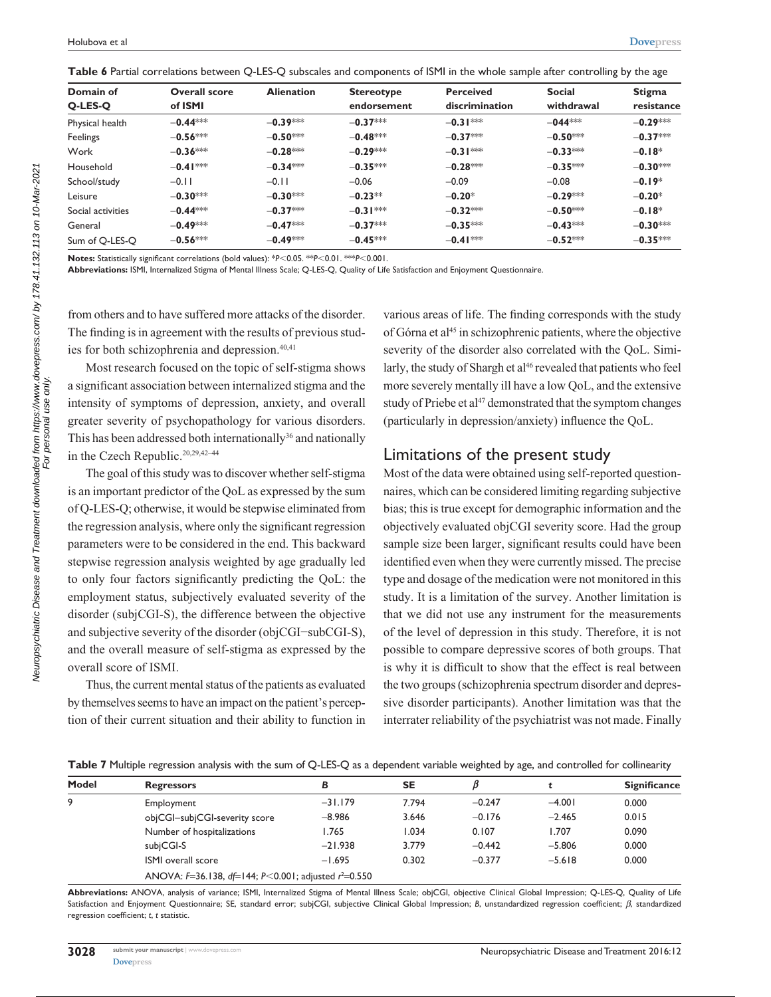**Table 6** Partial correlations between Q-LES-Q subscales and components of ISMI in the whole sample after controlling by the age

| Domain of<br>Q-LES-Q | <b>Overall score</b><br>of ISMI | <b>Alienation</b> | <b>Stereotype</b><br>endorsement | <b>Perceived</b><br>discrimination | <b>Social</b><br>withdrawal | <b>Stigma</b><br>resistance |
|----------------------|---------------------------------|-------------------|----------------------------------|------------------------------------|-----------------------------|-----------------------------|
| Physical health      | $-0.44***$                      | $-0.39***$        | $-0.37***$                       | $-0.31***$                         | $-044***$                   | $-0.29***$                  |
| Feelings             | $-0.56***$                      | $-0.50***$        | $-0.48***$                       | $-0.37***$                         | $-0.50***$                  | $-0.37***$                  |
| Work                 | $-0.36***$                      | $-0.28***$        | $-0.29***$                       | $-0.31***$                         | $-0.33***$                  | $-0.18*$                    |
| Household            | $-0.41***$                      | $-0.34***$        | $-0.35***$                       | $-0.28***$                         | $-0.35***$                  | $-0.30***$                  |
| School/study         | $-0.11$                         | $-0.11$           | $-0.06$                          | $-0.09$                            | $-0.08$                     | $-0.19*$                    |
| Leisure              | $-0.30***$                      | $-0.30***$        | $-0.23**$                        | $-0.20*$                           | $-0.29***$                  | $-0.20*$                    |
| Social activities    | $-0.44***$                      | $-0.37***$        | $-0.31***$                       | $-0.32***$                         | $-0.50***$                  | $-0.18*$                    |
| General              | $-0.49***$                      | $-0.47***$        | $-0.37***$                       | $-0.35***$                         | $-0.43***$                  | $-0.30***$                  |
| Sum of Q-LES-Q       | $-0.56***$                      | $-0.49***$        | $-0.45***$                       | $-0.41***$                         | $-0.52***$                  | $-0.35***$                  |

**Notes:** Statistically significant correlations (bold values): \**P*<0.05. \*\**P*<0.01. \*\**P*<0.001.

**Abbreviations:** ISMI, Internalized Stigma of Mental Illness Scale; Q-LES-Q, Quality of Life Satisfaction and Enjoyment Questionnaire.

from others and to have suffered more attacks of the disorder. The finding is in agreement with the results of previous studies for both schizophrenia and depression.<sup>40,41</sup>

Most research focused on the topic of self-stigma shows a significant association between internalized stigma and the intensity of symptoms of depression, anxiety, and overall greater severity of psychopathology for various disorders. This has been addressed both internationally<sup>36</sup> and nationally in the Czech Republic.20,29,42–44

The goal of this study was to discover whether self-stigma is an important predictor of the QoL as expressed by the sum of Q-LES-Q; otherwise, it would be stepwise eliminated from the regression analysis, where only the significant regression parameters were to be considered in the end. This backward stepwise regression analysis weighted by age gradually led to only four factors significantly predicting the QoL: the employment status, subjectively evaluated severity of the disorder (subjCGI-S), the difference between the objective and subjective severity of the disorder (objCGI−subCGI-S), and the overall measure of self-stigma as expressed by the overall score of ISMI.

Thus, the current mental status of the patients as evaluated by themselves seems to have an impact on the patient's perception of their current situation and their ability to function in

various areas of life. The finding corresponds with the study of Górna et al<sup>45</sup> in schizophrenic patients, where the objective severity of the disorder also correlated with the QoL. Similarly, the study of Shargh et al<sup>46</sup> revealed that patients who feel more severely mentally ill have a low QoL, and the extensive study of Priebe et al<sup>47</sup> demonstrated that the symptom changes (particularly in depression/anxiety) influence the QoL.

### Limitations of the present study

Most of the data were obtained using self-reported questionnaires, which can be considered limiting regarding subjective bias; this is true except for demographic information and the objectively evaluated objCGI severity score. Had the group sample size been larger, significant results could have been identified even when they were currently missed. The precise type and dosage of the medication were not monitored in this study. It is a limitation of the survey. Another limitation is that we did not use any instrument for the measurements of the level of depression in this study. Therefore, it is not possible to compare depressive scores of both groups. That is why it is difficult to show that the effect is real between the two groups (schizophrenia spectrum disorder and depressive disorder participants). Another limitation was that the interrater reliability of the psychiatrist was not made. Finally

|  | ${\sf Table~7}$ Multiple regression analysis with the sum of Q-LES-Q as a dependent variable weighted by age, and controlled for collinearity |  |  |  |  |  |  |  |  |  |  |  |  |  |  |
|--|-----------------------------------------------------------------------------------------------------------------------------------------------|--|--|--|--|--|--|--|--|--|--|--|--|--|--|
|--|-----------------------------------------------------------------------------------------------------------------------------------------------|--|--|--|--|--|--|--|--|--|--|--|--|--|--|

| Model | <b>Regressors</b>                                       | В         | <b>SE</b> |          |          | <b>Significance</b> |
|-------|---------------------------------------------------------|-----------|-----------|----------|----------|---------------------|
| 9     | Employment                                              | $-31.179$ | 7.794     | $-0.247$ | $-4.001$ | 0.000               |
|       | objCGI-subjCGI-severity score                           | $-8.986$  | 3.646     | $-0.176$ | $-2.465$ | 0.015               |
|       | Number of hospitalizations                              | 1.765     | 1.034     | 0.107    | 1.707    | 0.090               |
|       | subjCGI-S                                               | $-21.938$ | 3.779     | $-0.442$ | $-5.806$ | 0.000               |
|       | <b>ISMI</b> overall score                               | $-1.695$  | 0.302     | $-0.377$ | $-5.618$ | 0.000               |
|       | ANOVA: F=36.138, df=144; P<0.001; adjusted $r^2$ =0.550 |           |           |          |          |                     |

**Abbreviations:** ANOVA, analysis of variance; ISMI, Internalized Stigma of Mental Illness Scale; objCGI, objective Clinical Global Impression; Q-LES-Q, Quality of Life Satisfaction and Enjoyment Questionnaire; SE, standard error; subjCGI, subjective Clinical Global Impression; *B*, unstandardized regression coefficient; *β*, standardized regression coefficient; *t*, *t* statistic.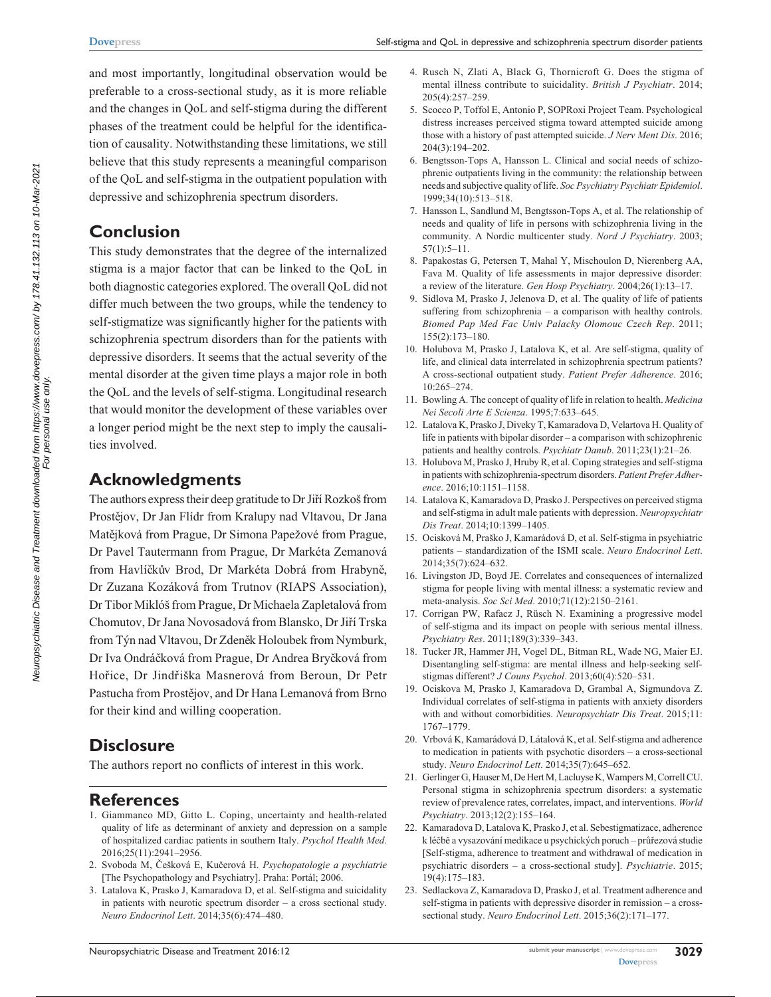and most importantly, longitudinal observation would be preferable to a cross-sectional study, as it is more reliable and the changes in QoL and self-stigma during the different phases of the treatment could be helpful for the identification of causality. Notwithstanding these limitations, we still believe that this study represents a meaningful comparison of the QoL and self-stigma in the outpatient population with depressive and schizophrenia spectrum disorders.

## **Conclusion**

This study demonstrates that the degree of the internalized stigma is a major factor that can be linked to the QoL in both diagnostic categories explored. The overall QoL did not differ much between the two groups, while the tendency to self-stigmatize was significantly higher for the patients with schizophrenia spectrum disorders than for the patients with depressive disorders. It seems that the actual severity of the mental disorder at the given time plays a major role in both the QoL and the levels of self-stigma. Longitudinal research that would monitor the development of these variables over a longer period might be the next step to imply the causalities involved.

# **Acknowledgments**

The authors express their deep gratitude to Dr Jiří Rozkoš from Prostějov, Dr Jan Flídr from Kralupy nad Vltavou, Dr Jana Matějková from Prague, Dr Simona Papežové from Prague, Dr Pavel Tautermann from Prague, Dr Markéta Zemanová from Havlíčkův Brod, Dr Markéta Dobrá from Hrabyně, Dr Zuzana Kozáková from Trutnov (RIAPS Association), Dr Tibor Miklóš from Prague, Dr Michaela Zapletalová from Chomutov, Dr Jana Novosadová from Blansko, Dr Jiří Trska from Týn nad Vltavou, Dr Zdeněk Holoubek from Nymburk, Dr Iva Ondráčková from Prague, Dr Andrea Bryčková from Hořice, Dr Jindřiška Masnerová from Beroun, Dr Petr Pastucha from Prostějov, and Dr Hana Lemanová from Brno for their kind and willing cooperation.

# **Disclosure**

The authors report no conflicts of interest in this work.

# **References**

- 1. Giammanco MD, Gitto L. Coping, uncertainty and health-related quality of life as determinant of anxiety and depression on a sample of hospitalized cardiac patients in southern Italy. *Psychol Health Med*. 2016;25(11):2941–2956.
- 2. Svoboda M, Češková E, Kučerová H. *Psychopatologie a psychiatrie* [The Psychopathology and Psychiatry]. Praha: Portál; 2006.
- 3. Latalova K, Prasko J, Kamaradova D, et al. Self-stigma and suicidality in patients with neurotic spectrum disorder – a cross sectional study. *Neuro Endocrinol Lett*. 2014;35(6):474–480.
- 4. Rusch N, Zlati A, Black G, Thornicroft G. Does the stigma of mental illness contribute to suicidality. *British J Psychiatr*. 2014; 205(4):257–259.
- 5. Scocco P, Toffol E, Antonio P, SOPRoxi Project Team. Psychological distress increases perceived stigma toward attempted suicide among those with a history of past attempted suicide. *J Nerv Ment Dis*. 2016; 204(3):194–202.
- 6. Bengtsson-Tops A, Hansson L. Clinical and social needs of schizophrenic outpatients living in the community: the relationship between needs and subjective quality of life. *Soc Psychiatry Psychiatr Epidemiol*. 1999;34(10):513–518.
- 7. Hansson L, Sandlund M, Bengtsson-Tops A, et al. The relationship of needs and quality of life in persons with schizophrenia living in the community. A Nordic multicenter study. *Nord J Psychiatry*. 2003; 57(1):5–11.
- 8. Papakostas G, Petersen T, Mahal Y, Mischoulon D, Nierenberg AA, Fava M. Quality of life assessments in major depressive disorder: a review of the literature. *Gen Hosp Psychiatry*. 2004;26(1):13–17.
- 9. Sidlova M, Prasko J, Jelenova D, et al. The quality of life of patients suffering from schizophrenia – a comparison with healthy controls. *Biomed Pap Med Fac Univ Palacky Olomouc Czech Rep*. 2011; 155(2):173–180.
- 10. Holubova M, Prasko J, Latalova K, et al. Are self-stigma, quality of life, and clinical data interrelated in schizophrenia spectrum patients? A cross-sectional outpatient study. *Patient Prefer Adherence*. 2016; 10:265–274.
- 11. Bowling A. The concept of quality of life in relation to health. *Medicina Nei Secoli Arte E Scienza*. 1995;7:633–645.
- 12. Latalova K, Prasko J, Diveky T, Kamaradova D, Velartova H. Quality of life in patients with bipolar disorder – a comparison with schizophrenic patients and healthy controls. *Psychiatr Danub*. 2011;23(1):21–26.
- 13. Holubova M, Prasko J, Hruby R, et al. Coping strategies and self-stigma in patients with schizophrenia-spectrum disorders. *Patient Prefer Adherence*. 2016;10:1151–1158.
- 14. Latalova K, Kamaradova D, Prasko J. Perspectives on perceived stigma and self-stigma in adult male patients with depression. *Neuropsychiatr Dis Treat*. 2014;10:1399–1405.
- 15. Ocisková M, Praško J, Kamarádová D, et al. Self-stigma in psychiatric patients – standardization of the ISMI scale. *Neuro Endocrinol Lett*. 2014;35(7):624–632.
- 16. Livingston JD, Boyd JE. Correlates and consequences of internalized stigma for people living with mental illness: a systematic review and meta-analysis. *Soc Sci Med*. 2010;71(12):2150–2161.
- 17. Corrigan PW, Rafacz J, Rüsch N. Examining a progressive model of self-stigma and its impact on people with serious mental illness. *Psychiatry Res*. 2011;189(3):339–343.
- 18. Tucker JR, Hammer JH, Vogel DL, Bitman RL, Wade NG, Maier EJ. Disentangling self-stigma: are mental illness and help-seeking selfstigmas different? *J Couns Psychol*. 2013;60(4):520–531.
- 19. Ociskova M, Prasko J, Kamaradova D, Grambal A, Sigmundova Z. Individual correlates of self-stigma in patients with anxiety disorders with and without comorbidities. *Neuropsychiatr Dis Treat*. 2015;11: 1767–1779.
- 20. Vrbová K, Kamarádová D, Látalová K, et al. Self-stigma and adherence to medication in patients with psychotic disorders – a cross-sectional study. *Neuro Endocrinol Lett*. 2014;35(7):645–652.
- 21. Gerlinger G, Hauser M, De Hert M, Lacluyse K, Wampers M, Correll CU. Personal stigma in schizophrenia spectrum disorders: a systematic review of prevalence rates, correlates, impact, and interventions. *World Psychiatry*. 2013;12(2):155–164.
- 22. Kamaradova D, Latalova K, Prasko J, et al. Sebestigmatizace, adherence k léčbě a vysazování medikace u psychických poruch – průřezová studie [Self-stigma, adherence to treatment and withdrawal of medication in psychiatric disorders – a cross-sectional study]. *Psychiatrie*. 2015; 19(4):175–183.
- 23. Sedlackova Z, Kamaradova D, Prasko J, et al. Treatment adherence and self-stigma in patients with depressive disorder in remission – a crosssectional study. *Neuro Endocrinol Lett*. 2015;36(2):171–177.

**3029**

Neuropsychiatric Disease and Treatment downloaded from https://www.dovepress.com/ by 178.41.132.113 on 10-Mar-2021